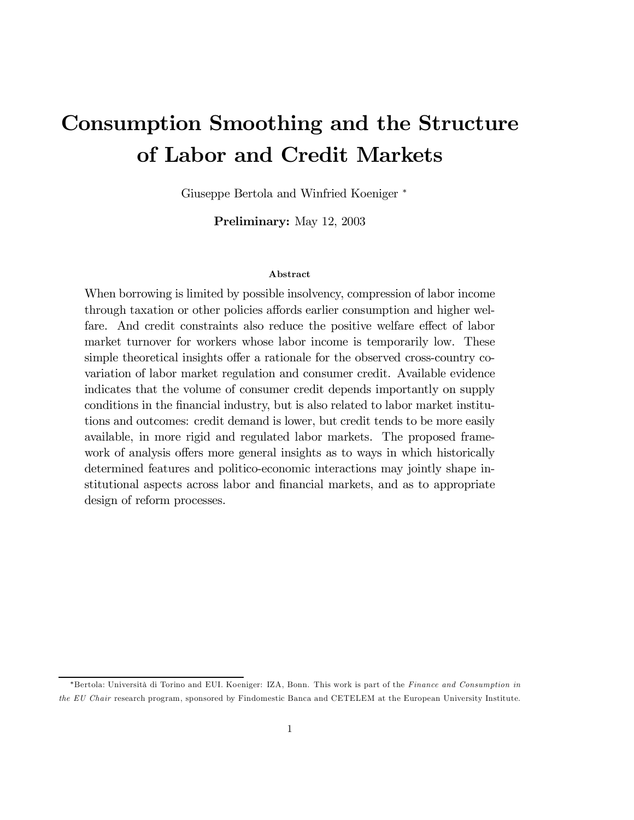# Consumption Smoothing and the Structure of Labor and Credit Markets

Giuseppe Bertola and Winfried Koeniger <sup>∗</sup>

Preliminary: May 12, 2003

#### Abstract

When borrowing is limited by possible insolvency, compression of labor income through taxation or other policies affords earlier consumption and higher welfare. And credit constraints also reduce the positive welfare effect of labor market turnover for workers whose labor income is temporarily low. These simple theoretical insights offer a rationale for the observed cross-country covariation of labor market regulation and consumer credit. Available evidence indicates that the volume of consumer credit depends importantly on supply conditions in the financial industry, but is also related to labor market institutions and outcomes: credit demand is lower, but credit tends to be more easily available, in more rigid and regulated labor markets. The proposed framework of analysis offers more general insights as to ways in which historically determined features and politico-economic interactions may jointly shape institutional aspects across labor and financial markets, and as to appropriate design of reform processes.

<sup>∗</sup>Bertola: Università di Torino and EUI. Koeniger: IZA, Bonn. This work is part of the Finance and Consumption in the EU Chair research program, sponsored by Findomestic Banca and CETELEM at the European University Institute.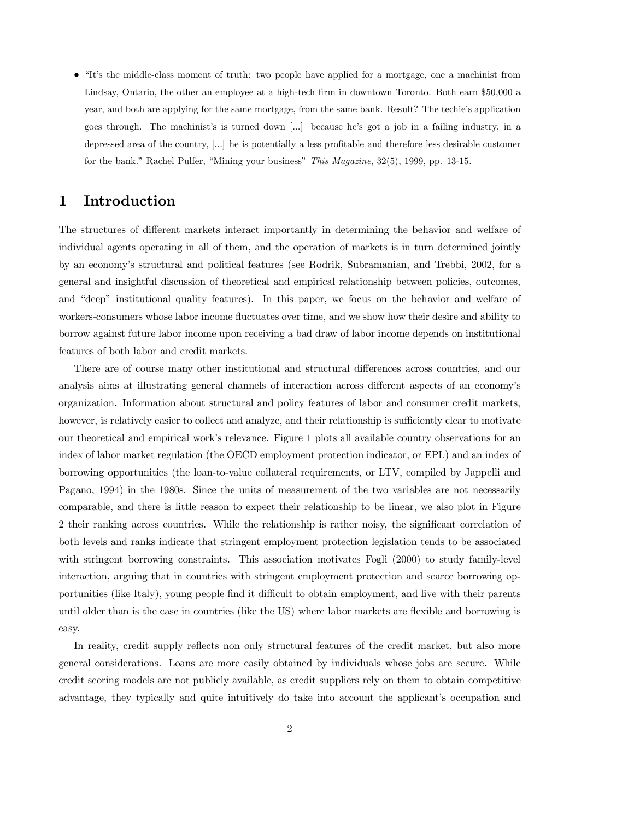• "It's the middle-class moment of truth: two people have applied for a mortgage, one a machinist from Lindsay, Ontario, the other an employee at a high-tech firm in downtown Toronto. Both earn \$50,000 a year, and both are applying for the same mortgage, from the same bank. Result? The techie's application goes through. The machinist's is turned down [...] because he's got a job in a failing industry, in a depressed area of the country, [...] he is potentially a less profitable and therefore less desirable customer for the bank." Rachel Pulfer, "Mining your business" This Magazine, 32(5), 1999, pp. 13-15.

## 1 Introduction

The structures of different markets interact importantly in determining the behavior and welfare of individual agents operating in all of them, and the operation of markets is in turn determined jointly by an economy's structural and political features (see Rodrik, Subramanian, and Trebbi, 2002, for a general and insightful discussion of theoretical and empirical relationship between policies, outcomes, and "deep" institutional quality features). In this paper, we focus on the behavior and welfare of workers-consumers whose labor income fluctuates over time, and we show how their desire and ability to borrow against future labor income upon receiving a bad draw of labor income depends on institutional features of both labor and credit markets.

There are of course many other institutional and structural differences across countries, and our analysis aims at illustrating general channels of interaction across different aspects of an economy's organization. Information about structural and policy features of labor and consumer credit markets, however, is relatively easier to collect and analyze, and their relationship is sufficiently clear to motivate our theoretical and empirical work's relevance. Figure 1 plots all available country observations for an index of labor market regulation (the OECD employment protection indicator, or EPL) and an index of borrowing opportunities (the loan-to-value collateral requirements, or LTV, compiled by Jappelli and Pagano, 1994) in the 1980s. Since the units of measurement of the two variables are not necessarily comparable, and there is little reason to expect their relationship to be linear, we also plot in Figure 2 their ranking across countries. While the relationship is rather noisy, the significant correlation of both levels and ranks indicate that stringent employment protection legislation tends to be associated with stringent borrowing constraints. This association motivates Fogli (2000) to study family-level interaction, arguing that in countries with stringent employment protection and scarce borrowing opportunities (like Italy), young people find it difficult to obtain employment, and live with their parents until older than is the case in countries (like the US) where labor markets are flexible and borrowing is easy.

In reality, credit supply reflects non only structural features of the credit market, but also more general considerations. Loans are more easily obtained by individuals whose jobs are secure. While credit scoring models are not publicly available, as credit suppliers rely on them to obtain competitive advantage, they typically and quite intuitively do take into account the applicant's occupation and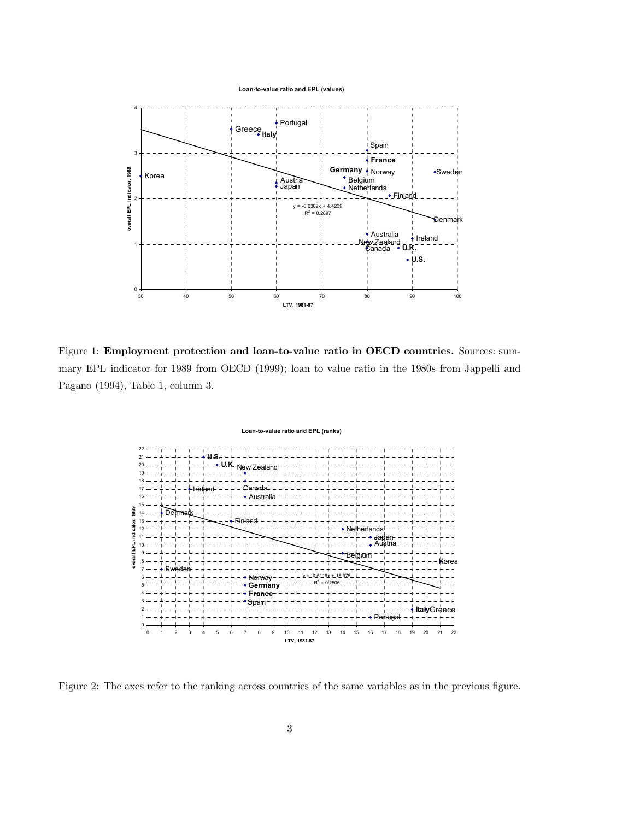

Figure 1: Employment protection and loan-to-value ratio in OECD countries. Sources: summary EPL indicator for 1989 from OECD (1999); loan to value ratio in the 1980s from Jappelli and Pagano (1994), Table 1, column 3.

#### **Loan-to-value ratio and EPL (ranks)**



Figure 2: The axes refer to the ranking across countries of the same variables as in the previous figure.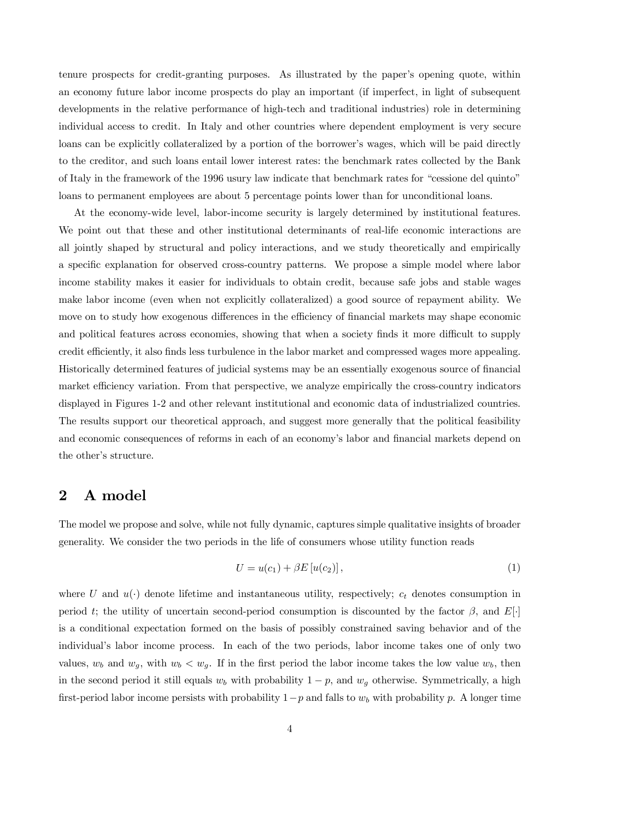tenure prospects for credit-granting purposes. As illustrated by the paper's opening quote, within an economy future labor income prospects do play an important (if imperfect, in light of subsequent developments in the relative performance of high-tech and traditional industries) role in determining individual access to credit. In Italy and other countries where dependent employment is very secure loans can be explicitly collateralized by a portion of the borrower's wages, which will be paid directly to the creditor, and such loans entail lower interest rates: the benchmark rates collected by the Bank of Italy in the framework of the 1996 usury law indicate that benchmark rates for "cessione del quinto" loans to permanent employees are about 5 percentage points lower than for unconditional loans.

At the economy-wide level, labor-income security is largely determined by institutional features. We point out that these and other institutional determinants of real-life economic interactions are all jointly shaped by structural and policy interactions, and we study theoretically and empirically a specific explanation for observed cross-country patterns. We propose a simple model where labor income stability makes it easier for individuals to obtain credit, because safe jobs and stable wages make labor income (even when not explicitly collateralized) a good source of repayment ability. We move on to study how exogenous differences in the efficiency of financial markets may shape economic and political features across economies, showing that when a society finds it more difficult to supply credit efficiently, it also finds less turbulence in the labor market and compressed wages more appealing. Historically determined features of judicial systems may be an essentially exogenous source of financial market efficiency variation. From that perspective, we analyze empirically the cross-country indicators displayed in Figures 1-2 and other relevant institutional and economic data of industrialized countries. The results support our theoretical approach, and suggest more generally that the political feasibility and economic consequences of reforms in each of an economy's labor and financial markets depend on the other's structure.

## 2 A model

The model we propose and solve, while not fully dynamic, captures simple qualitative insights of broader generality. We consider the two periods in the life of consumers whose utility function reads

$$
U = u(c_1) + \beta E[u(c_2)],
$$
\n(1)

where U and  $u(\cdot)$  denote lifetime and instantaneous utility, respectively;  $c_t$  denotes consumption in period t; the utility of uncertain second-period consumption is discounted by the factor  $\beta$ , and  $E[\cdot]$ is a conditional expectation formed on the basis of possibly constrained saving behavior and of the individual's labor income process. In each of the two periods, labor income takes one of only two values,  $w_b$  and  $w_g$ , with  $w_b < w_g$ . If in the first period the labor income takes the low value  $w_b$ , then in the second period it still equals  $w_b$  with probability  $1 - p$ , and  $w_g$  otherwise. Symmetrically, a high first-period labor income persists with probability  $1-p$  and falls to  $w<sub>b</sub>$  with probability p. A longer time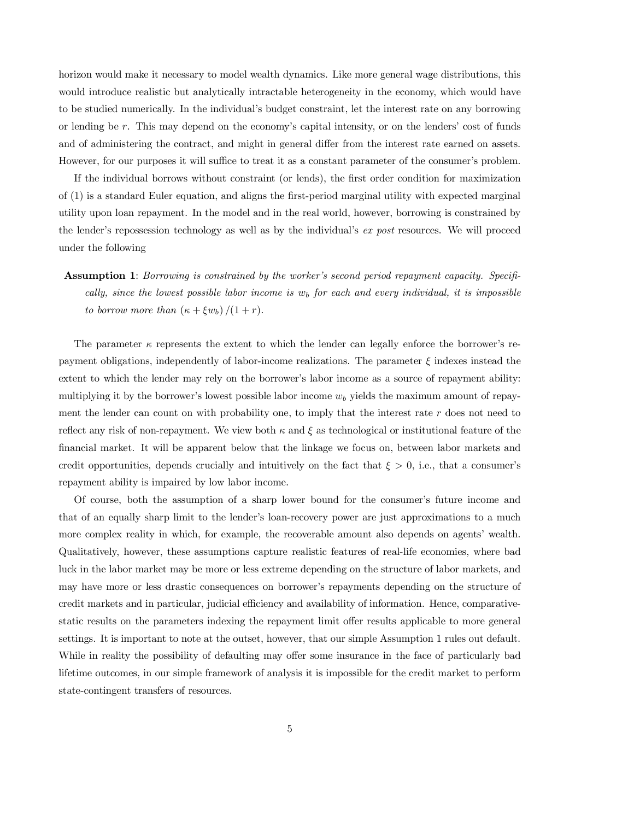horizon would make it necessary to model wealth dynamics. Like more general wage distributions, this would introduce realistic but analytically intractable heterogeneity in the economy, which would have to be studied numerically. In the individual's budget constraint, let the interest rate on any borrowing or lending be r. This may depend on the economy's capital intensity, or on the lenders' cost of funds and of administering the contract, and might in general differ from the interest rate earned on assets. However, for our purposes it will suffice to treat it as a constant parameter of the consumer's problem.

If the individual borrows without constraint (or lends), the first order condition for maximization of (1) is a standard Euler equation, and aligns the first-period marginal utility with expected marginal utility upon loan repayment. In the model and in the real world, however, borrowing is constrained by the lender's repossession technology as well as by the individual's ex post resources. We will proceed under the following

Assumption 1: Borrowing is constrained by the worker's second period repayment capacity. Specifically, since the lowest possible labor income is  $w<sub>b</sub>$  for each and every individual, it is impossible to borrow more than  $(\kappa + \xi w_b)/(1+r)$ .

The parameter  $\kappa$  represents the extent to which the lender can legally enforce the borrower's repayment obligations, independently of labor-income realizations. The parameter  $\xi$  indexes instead the extent to which the lender may rely on the borrower's labor income as a source of repayment ability: multiplying it by the borrower's lowest possible labor income  $w<sub>b</sub>$  yields the maximum amount of repayment the lender can count on with probability one, to imply that the interest rate  $r$  does not need to reflect any risk of non-repayment. We view both  $\kappa$  and  $\xi$  as technological or institutional feature of the financial market. It will be apparent below that the linkage we focus on, between labor markets and credit opportunities, depends crucially and intuitively on the fact that  $\xi > 0$ , i.e., that a consumer's repayment ability is impaired by low labor income.

Of course, both the assumption of a sharp lower bound for the consumer's future income and that of an equally sharp limit to the lender's loan-recovery power are just approximations to a much more complex reality in which, for example, the recoverable amount also depends on agents' wealth. Qualitatively, however, these assumptions capture realistic features of real-life economies, where bad luck in the labor market may be more or less extreme depending on the structure of labor markets, and may have more or less drastic consequences on borrower's repayments depending on the structure of credit markets and in particular, judicial efficiency and availability of information. Hence, comparativestatic results on the parameters indexing the repayment limit offer results applicable to more general settings. It is important to note at the outset, however, that our simple Assumption 1 rules out default. While in reality the possibility of defaulting may offer some insurance in the face of particularly bad lifetime outcomes, in our simple framework of analysis it is impossible for the credit market to perform state-contingent transfers of resources.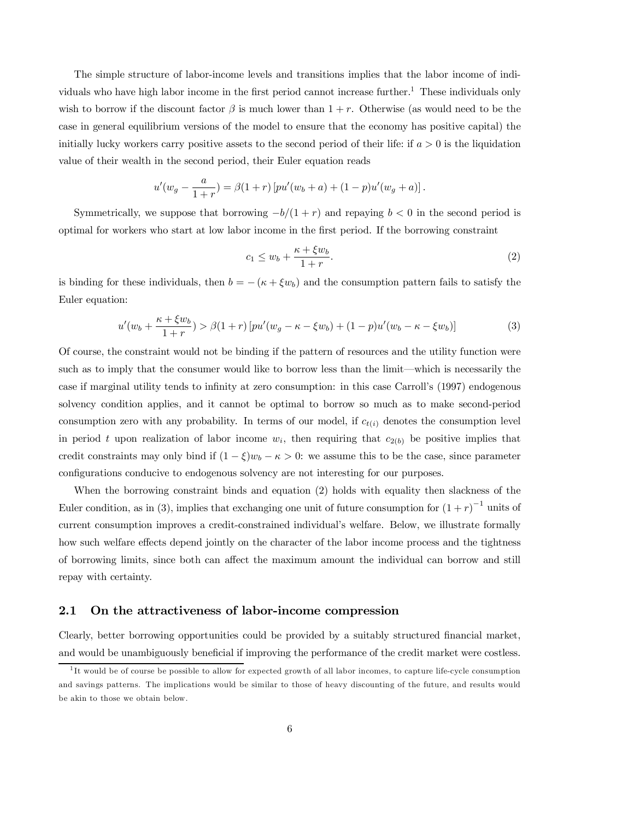The simple structure of labor-income levels and transitions implies that the labor income of individuals who have high labor income in the first period cannot increase further.<sup>1</sup> These individuals only wish to borrow if the discount factor  $\beta$  is much lower than  $1+r$ . Otherwise (as would need to be the case in general equilibrium versions of the model to ensure that the economy has positive capital) the initially lucky workers carry positive assets to the second period of their life: if  $a > 0$  is the liquidation value of their wealth in the second period, their Euler equation reads

$$
u'(w_g - \frac{a}{1+r}) = \beta(1+r) \left[ p u'(w_b + a) + (1-p) u'(w_g + a) \right].
$$

Symmetrically, we suppose that borrowing  $-b/(1+r)$  and repaying  $b < 0$  in the second period is optimal for workers who start at low labor income in the first period. If the borrowing constraint

$$
c_1 \le w_b + \frac{\kappa + \xi w_b}{1 + r}.\tag{2}
$$

is binding for these individuals, then  $b = -(k + \xi w_b)$  and the consumption pattern fails to satisfy the Euler equation:

$$
u'(w_b + \frac{\kappa + \xi w_b}{1+r}) > \beta(1+r) \left[ p u'(w_g - \kappa - \xi w_b) + (1-p) u'(w_b - \kappa - \xi w_b) \right]
$$
 (3)

Of course, the constraint would not be binding if the pattern of resources and the utility function were such as to imply that the consumer would like to borrow less than the limit–which is necessarily the case if marginal utility tends to infinity at zero consumption: in this case Carroll's (1997) endogenous solvency condition applies, and it cannot be optimal to borrow so much as to make second-period consumption zero with any probability. In terms of our model, if  $c_{t(i)}$  denotes the consumption level in period t upon realization of labor income  $w_i$ , then requiring that  $c_{2(b)}$  be positive implies that credit constraints may only bind if  $(1 - \xi)w_b - \kappa > 0$ : we assume this to be the case, since parameter configurations conducive to endogenous solvency are not interesting for our purposes.

When the borrowing constraint binds and equation (2) holds with equality then slackness of the Euler condition, as in (3), implies that exchanging one unit of future consumption for  $(1+r)^{-1}$  units of current consumption improves a credit-constrained individual's welfare. Below, we illustrate formally how such welfare effects depend jointly on the character of the labor income process and the tightness of borrowing limits, since both can affect the maximum amount the individual can borrow and still repay with certainty.

#### 2.1 On the attractiveness of labor-income compression

Clearly, better borrowing opportunities could be provided by a suitably structured financial market, and would be unambiguously beneficial if improving the performance of the credit market were costless.

<sup>1</sup> It would be of course be possible to allow for expected growth of all labor incomes, to capture life-cycle consumption and savings patterns. The implications would be similar to those of heavy discounting of the future, and results would be akin to those we obtain below.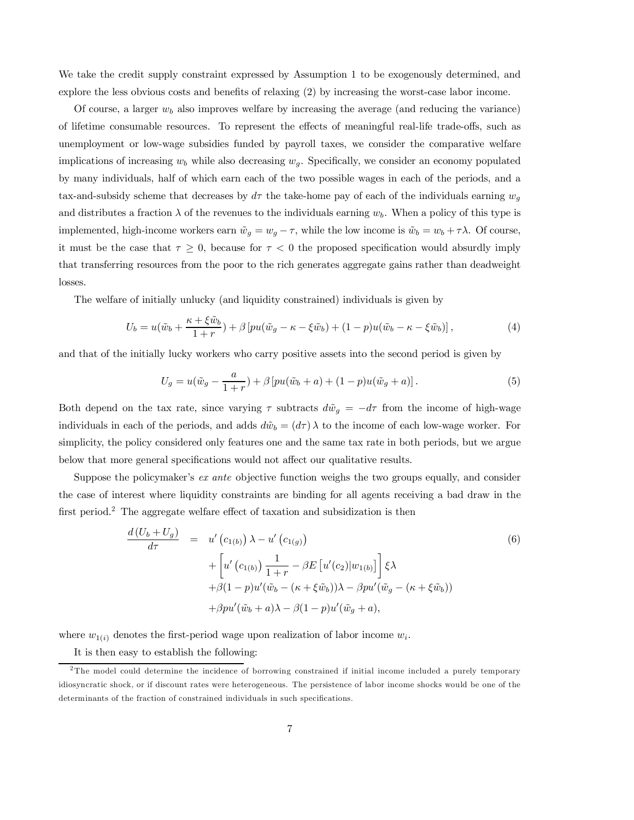We take the credit supply constraint expressed by Assumption 1 to be exogenously determined, and explore the less obvious costs and benefits of relaxing (2) by increasing the worst-case labor income.

Of course, a larger  $w_b$  also improves welfare by increasing the average (and reducing the variance) of lifetime consumable resources. To represent the effects of meaningful real-life trade-offs, such as unemployment or low-wage subsidies funded by payroll taxes, we consider the comparative welfare implications of increasing  $w_b$  while also decreasing  $w_g$ . Specifically, we consider an economy populated by many individuals, half of which earn each of the two possible wages in each of the periods, and a tax-and-subsidy scheme that decreases by  $d\tau$  the take-home pay of each of the individuals earning  $w_g$ and distributes a fraction  $\lambda$  of the revenues to the individuals earning  $w_b$ . When a policy of this type is implemented, high-income workers earn  $\tilde{w}_g = w_g - \tau$ , while the low income is  $\tilde{w}_b = w_b + \tau \lambda$ . Of course, it must be the case that  $\tau \geq 0$ , because for  $\tau < 0$  the proposed specification would absurdly imply that transferring resources from the poor to the rich generates aggregate gains rather than deadweight losses.

The welfare of initially unlucky (and liquidity constrained) individuals is given by

$$
U_b = u(\tilde{w}_b + \frac{\kappa + \xi \tilde{w}_b}{1+r}) + \beta \left[ pu(\tilde{w}_g - \kappa - \xi \tilde{w}_b) + (1-p)u(\tilde{w}_b - \kappa - \xi \tilde{w}_b) \right],\tag{4}
$$

and that of the initially lucky workers who carry positive assets into the second period is given by

$$
U_g = u(\tilde{w}_g - \frac{a}{1+r}) + \beta \left[ pu(\tilde{w}_b + a) + (1-p)u(\tilde{w}_g + a) \right].
$$
 (5)

Both depend on the tax rate, since varying  $\tau$  subtracts  $d\tilde{w}_q = -d\tau$  from the income of high-wage individuals in each of the periods, and adds  $d\tilde{w}_b = (d\tau)\lambda$  to the income of each low-wage worker. For simplicity, the policy considered only features one and the same tax rate in both periods, but we argue below that more general specifications would not affect our qualitative results.

Suppose the policymaker's *ex ante* objective function weighs the two groups equally, and consider the case of interest where liquidity constraints are binding for all agents receiving a bad draw in the first period.<sup>2</sup> The aggregate welfare effect of taxation and subsidization is then

$$
\frac{d(U_b + U_g)}{d\tau} = u'(c_{1(b)}) \lambda - u'(c_{1(g)})
$$
\n
$$
+ \left[ u'(c_{1(b)}) \frac{1}{1+r} - \beta E \left[ u'(c_2) | w_{1(b)} \right] \right] \xi \lambda
$$
\n
$$
+ \beta (1-p) u'( \tilde{w}_b - (\kappa + \xi \tilde{w}_b) ) \lambda - \beta p u'( \tilde{w}_g - (\kappa + \xi \tilde{w}_b) )
$$
\n
$$
+ \beta p u'( \tilde{w}_b + a) \lambda - \beta (1-p) u'( \tilde{w}_g + a),
$$
\n(6)

where  $w_{1(i)}$  denotes the first-period wage upon realization of labor income  $w_i$ .

It is then easy to establish the following:

<sup>&</sup>lt;sup>2</sup>The model could determine the incidence of borrowing constrained if initial income included a purely temporary idiosyncratic shock, or if discount rates were heterogeneous. The persistence of labor income shocks would be one of the determinants of the fraction of constrained individuals in such specifications.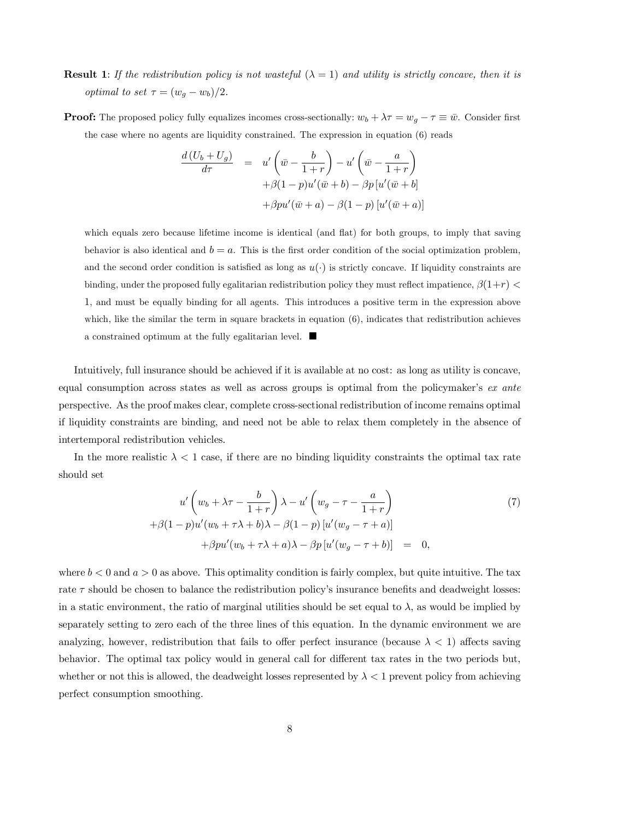**Result 1:** If the redistribution policy is not wasteful  $(\lambda = 1)$  and utility is strictly concave, then it is *optimal to set*  $\tau = (w_g - w_b)/2$ .

**Proof:** The proposed policy fully equalizes incomes cross-sectionally:  $w_b + \lambda \tau = w_g - \tau \equiv \bar{w}$ . Consider first the case where no agents are liquidity constrained. The expression in equation (6) reads

$$
\frac{d(U_b + U_g)}{d\tau} = u'\left(\bar{w} - \frac{b}{1+r}\right) - u'\left(\bar{w} - \frac{a}{1+r}\right)
$$

$$
+ \beta(1-p)u'(\bar{w} + b) - \beta p[u'(\bar{w} + b)]
$$

$$
+ \beta pu'(\bar{w} + a) - \beta(1-p)[u'(\bar{w} + a)]
$$

which equals zero because lifetime income is identical (and flat) for both groups, to imply that saving behavior is also identical and  $b = a$ . This is the first order condition of the social optimization problem, and the second order condition is satisfied as long as  $u(\cdot)$  is strictly concave. If liquidity constraints are binding, under the proposed fully egalitarian redistribution policy they must reflect impatience,  $\beta(1+r)$ 1, and must be equally binding for all agents. This introduces a positive term in the expression above which, like the similar the term in square brackets in equation  $(6)$ , indicates that redistribution achieves a constrained optimum at the fully egalitarian level.  $\blacksquare$ 

Intuitively, full insurance should be achieved if it is available at no cost: as long as utility is concave, equal consumption across states as well as across groups is optimal from the policymaker's ex ante perspective. As the proof makes clear, complete cross-sectional redistribution of income remains optimal if liquidity constraints are binding, and need not be able to relax them completely in the absence of intertemporal redistribution vehicles.

In the more realistic  $\lambda < 1$  case, if there are no binding liquidity constraints the optimal tax rate should set

$$
u'\left(w_b + \lambda \tau - \frac{b}{1+r}\right)\lambda - u'\left(w_g - \tau - \frac{a}{1+r}\right)
$$
  
+
$$
\beta(1-p)u'(w_b + \tau \lambda + b)\lambda - \beta(1-p)[u'(w_g - \tau + a)]
$$
  
+
$$
\beta pu'(w_b + \tau \lambda + a)\lambda - \beta p[u'(w_g - \tau + b)] = 0,
$$
 (7)

where  $b < 0$  and  $a > 0$  as above. This optimality condition is fairly complex, but quite intuitive. The tax rate  $\tau$  should be chosen to balance the redistribution policy's insurance benefits and deadweight losses: in a static environment, the ratio of marginal utilities should be set equal to  $\lambda$ , as would be implied by separately setting to zero each of the three lines of this equation. In the dynamic environment we are analyzing, however, redistribution that fails to offer perfect insurance (because  $\lambda < 1$ ) affects saving behavior. The optimal tax policy would in general call for different tax rates in the two periods but, whether or not this is allowed, the deadweight losses represented by  $\lambda < 1$  prevent policy from achieving perfect consumption smoothing.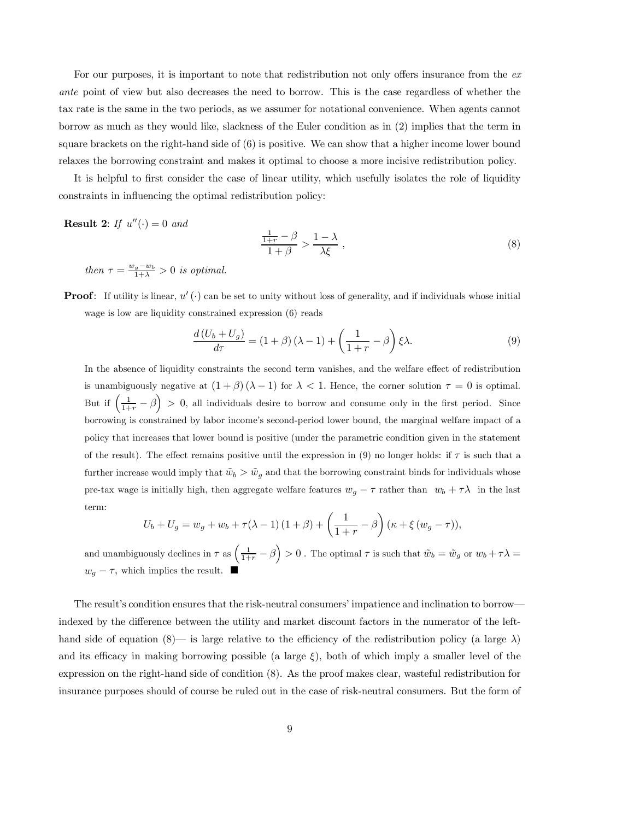For our purposes, it is important to note that redistribution not only offers insurance from the exante point of view but also decreases the need to borrow. This is the case regardless of whether the tax rate is the same in the two periods, as we assumer for notational convenience. When agents cannot borrow as much as they would like, slackness of the Euler condition as in (2) implies that the term in square brackets on the right-hand side of (6) is positive. We can show that a higher income lower bound relaxes the borrowing constraint and makes it optimal to choose a more incisive redistribution policy.

It is helpful to first consider the case of linear utility, which usefully isolates the role of liquidity constraints in influencing the optimal redistribution policy:

**Result 2:** If  $u''(\cdot) = 0$  and

$$
\frac{\frac{1}{1+r} - \beta}{1+\beta} > \frac{1-\lambda}{\lambda\xi} \,,\tag{8}
$$

then  $\tau = \frac{w_g - w_b}{1 + \lambda} > 0$  is optimal.

**Proof:** If utility is linear,  $u'(\cdot)$  can be set to unity without loss of generality, and if individuals whose initial wage is low are liquidity constrained expression (6) reads

$$
\frac{d\left(U_b + U_g\right)}{d\tau} = (1 + \beta)\left(\lambda - 1\right) + \left(\frac{1}{1 + r} - \beta\right)\xi\lambda.
$$
\n(9)

In the absence of liquidity constraints the second term vanishes, and the welfare effect of redistribution is unambiguously negative at  $(1 + \beta)(\lambda - 1)$  for  $\lambda < 1$ . Hence, the corner solution  $\tau = 0$  is optimal. But if  $\left(\frac{1}{1+r} - \beta\right) > 0$ , all individuals desire to borrow and consume only in the first period. Since borrowing is constrained by labor income's second-period lower bound, the marginal welfare impact of a policy that increases that lower bound is positive (under the parametric condition given in the statement of the result). The effect remains positive until the expression in (9) no longer holds: if  $\tau$  is such that a further increase would imply that  $\tilde{w}_b > \tilde{w}_q$  and that the borrowing constraint binds for individuals whose pre-tax wage is initially high, then aggregate welfare features  $w_g - \tau$  rather than  $w_b + \tau \lambda$  in the last term:

$$
U_b + U_g = w_g + w_b + \tau(\lambda - 1)(1 + \beta) + \left(\frac{1}{1+r} - \beta\right)(\kappa + \xi(w_g - \tau)),
$$

and unambiguously declines in  $\tau$  as  $\left(\frac{1}{1+r} - \beta\right) > 0$ . The optimal  $\tau$  is such that  $\tilde{w}_b = \tilde{w}_g$  or  $w_b + \tau \lambda =$  $w_g - \tau$ , which implies the result.  $\blacksquare$ 

The result's condition ensures that the risk-neutral consumers' impatience and inclination to borrow– indexed by the difference between the utility and market discount factors in the numerator of the lefthand side of equation (8)— is large relative to the efficiency of the redistribution policy (a large  $\lambda$ ) and its efficacy in making borrowing possible (a large  $\xi$ ), both of which imply a smaller level of the expression on the right-hand side of condition (8). As the proof makes clear, wasteful redistribution for insurance purposes should of course be ruled out in the case of risk-neutral consumers. But the form of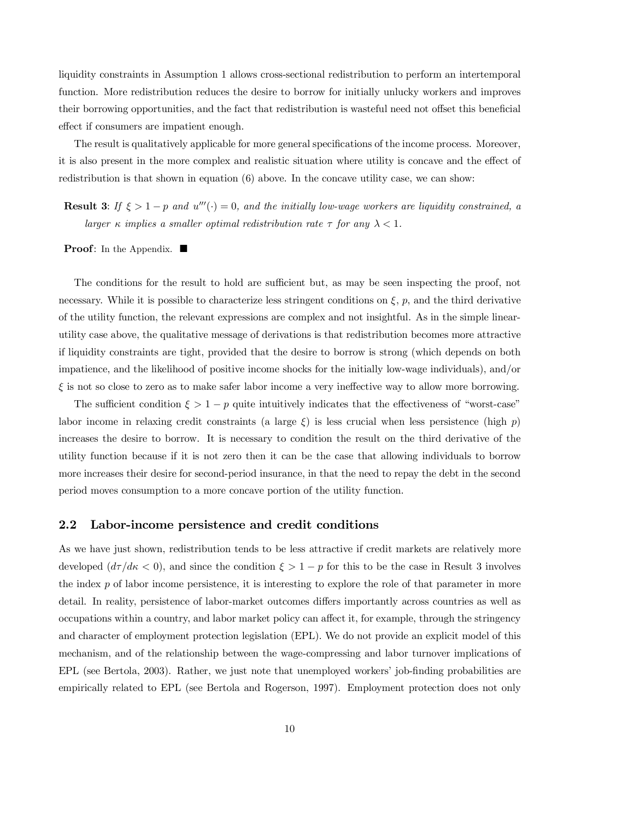liquidity constraints in Assumption 1 allows cross-sectional redistribution to perform an intertemporal function. More redistribution reduces the desire to borrow for initially unlucky workers and improves their borrowing opportunities, and the fact that redistribution is wasteful need not offset this beneficial effect if consumers are impatient enough.

The result is qualitatively applicable for more general specifications of the income process. Moreover, it is also present in the more complex and realistic situation where utility is concave and the effect of redistribution is that shown in equation (6) above. In the concave utility case, we can show:

**Result 3:** If  $\xi > 1 - p$  and  $u'''(\cdot) = 0$ , and the initially low-wage workers are liquidity constrained, a larger κ implies a smaller optimal redistribution rate  $\tau$  for any  $\lambda < 1$ .

**Proof:** In the Appendix.  $\blacksquare$ 

The conditions for the result to hold are sufficient but, as may be seen inspecting the proof, not necessary. While it is possible to characterize less stringent conditions on  $\xi$ , p, and the third derivative of the utility function, the relevant expressions are complex and not insightful. As in the simple linearutility case above, the qualitative message of derivations is that redistribution becomes more attractive if liquidity constraints are tight, provided that the desire to borrow is strong (which depends on both impatience, and the likelihood of positive income shocks for the initially low-wage individuals), and/or  $\xi$  is not so close to zero as to make safer labor income a very ineffective way to allow more borrowing.

The sufficient condition  $\xi > 1 - p$  quite intuitively indicates that the effectiveness of "worst-case" labor income in relaxing credit constraints (a large  $\xi$ ) is less crucial when less persistence (high p) increases the desire to borrow. It is necessary to condition the result on the third derivative of the utility function because if it is not zero then it can be the case that allowing individuals to borrow more increases their desire for second-period insurance, in that the need to repay the debt in the second period moves consumption to a more concave portion of the utility function.

#### 2.2 Labor-income persistence and credit conditions

As we have just shown, redistribution tends to be less attractive if credit markets are relatively more developed  $(d\tau/d\kappa < 0)$ , and since the condition  $\xi > 1 - p$  for this to be the case in Result 3 involves the index  $p$  of labor income persistence, it is interesting to explore the role of that parameter in more detail. In reality, persistence of labor-market outcomes differs importantly across countries as well as occupations within a country, and labor market policy can affect it, for example, through the stringency and character of employment protection legislation (EPL). We do not provide an explicit model of this mechanism, and of the relationship between the wage-compressing and labor turnover implications of EPL (see Bertola, 2003). Rather, we just note that unemployed workers' job-finding probabilities are empirically related to EPL (see Bertola and Rogerson, 1997). Employment protection does not only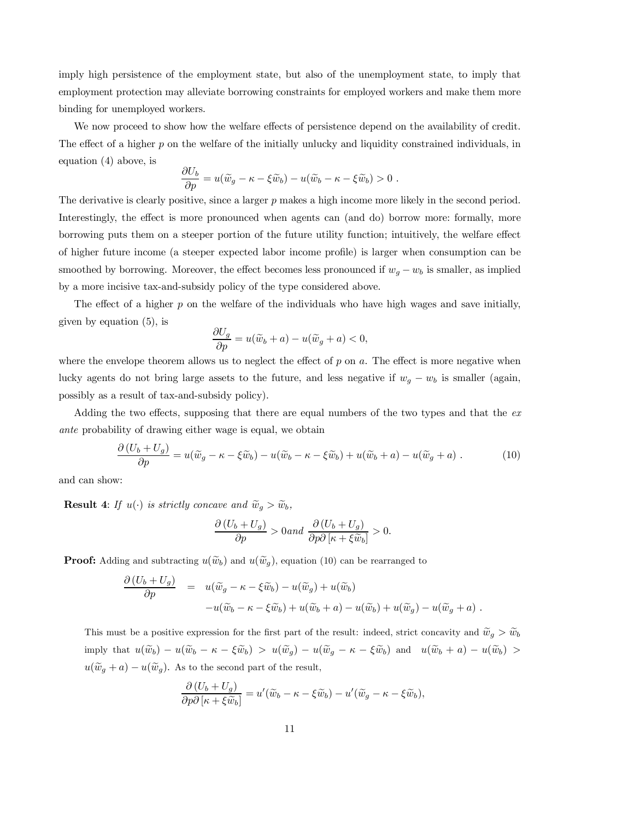imply high persistence of the employment state, but also of the unemployment state, to imply that employment protection may alleviate borrowing constraints for employed workers and make them more binding for unemployed workers.

We now proceed to show how the welfare effects of persistence depend on the availability of credit. The effect of a higher p on the welfare of the initially unlucky and liquidity constrained individuals, in equation  $(4)$  above, is

$$
\frac{\partial U_b}{\partial p} = u(\widetilde{w}_g - \kappa - \xi \widetilde{w}_b) - u(\widetilde{w}_b - \kappa - \xi \widetilde{w}_b) > 0.
$$

The derivative is clearly positive, since a larger  $p$  makes a high income more likely in the second period. Interestingly, the effect is more pronounced when agents can (and do) borrow more: formally, more borrowing puts them on a steeper portion of the future utility function; intuitively, the welfare effect of higher future income (a steeper expected labor income profile) is larger when consumption can be smoothed by borrowing. Moreover, the effect becomes less pronounced if  $w_g - w_b$  is smaller, as implied by a more incisive tax-and-subsidy policy of the type considered above.

The effect of a higher  $p$  on the welfare of the individuals who have high wages and save initially, given by equation  $(5)$ , is

$$
\frac{\partial U_g}{\partial p} = u(\widetilde{w}_b + a) - u(\widetilde{w}_g + a) < 0,
$$

where the envelope theorem allows us to neglect the effect of  $p$  on  $a$ . The effect is more negative when lucky agents do not bring large assets to the future, and less negative if  $w_g - w_b$  is smaller (again, possibly as a result of tax-and-subsidy policy).

Adding the two effects, supposing that there are equal numbers of the two types and that the  $ex$ ante probability of drawing either wage is equal, we obtain

$$
\frac{\partial (U_b + U_g)}{\partial p} = u(\widetilde{w}_g - \kappa - \xi \widetilde{w}_b) - u(\widetilde{w}_b - \kappa - \xi \widetilde{w}_b) + u(\widetilde{w}_b + a) - u(\widetilde{w}_g + a) \tag{10}
$$

and can show:

**Result 4:** If  $u(\cdot)$  is strictly concave and  $\widetilde{w}_g > \widetilde{w}_b$ ,

$$
\frac{\partial (U_b + U_g)}{\partial p} > 0 \text{ and } \frac{\partial (U_b + U_g)}{\partial p \partial [\kappa + \xi \widetilde{w}_b]} > 0.
$$

**Proof:** Adding and subtracting  $u(\widetilde{w}_b)$  and  $u(\widetilde{w}_a)$ , equation (10) can be rearranged to

$$
\frac{\partial (U_b + U_g)}{\partial p} = u(\widetilde{w}_g - \kappa - \xi \widetilde{w}_b) - u(\widetilde{w}_g) + u(\widetilde{w}_b) \n- u(\widetilde{w}_b - \kappa - \xi \widetilde{w}_b) + u(\widetilde{w}_b + a) - u(\widetilde{w}_b) + u(\widetilde{w}_g) - u(\widetilde{w}_g + a) .
$$

This must be a positive expression for the first part of the result: indeed, strict concavity and  $\widetilde{w}_q > \widetilde{w}_b$ imply that  $u(\widetilde{w}_b) - u(\widetilde{w}_b - \kappa - \xi \widetilde{w}_b) > u(\widetilde{w}_g) - u(\widetilde{w}_g - \kappa - \xi \widetilde{w}_b)$  and  $u(\widetilde{w}_b + a) - u(\widetilde{w}_b) >$  $u(\widetilde{w}_g + a) - u(\widetilde{w}_g)$ . As to the second part of the result,

$$
\frac{\partial (U_b + U_g)}{\partial p \partial [\kappa + \xi \widetilde{w}_b]} = u'(\widetilde{w}_b - \kappa - \xi \widetilde{w}_b) - u'(\widetilde{w}_g - \kappa - \xi \widetilde{w}_b),
$$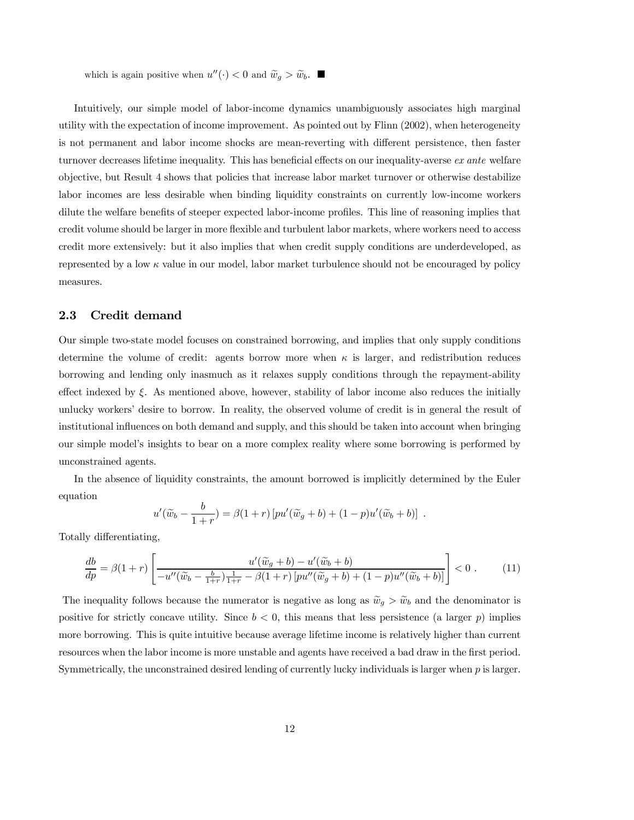which is again positive when  $u''(\cdot) < 0$  and  $\widetilde{w}_g > \widetilde{w}_b$ .

Intuitively, our simple model of labor-income dynamics unambiguously associates high marginal utility with the expectation of income improvement. As pointed out by Flinn (2002), when heterogeneity is not permanent and labor income shocks are mean-reverting with different persistence, then faster turnover decreases lifetime inequality. This has beneficial effects on our inequality-averse ex ante welfare objective, but Result 4 shows that policies that increase labor market turnover or otherwise destabilize labor incomes are less desirable when binding liquidity constraints on currently low-income workers dilute the welfare benefits of steeper expected labor-income profiles. This line of reasoning implies that credit volume should be larger in more flexible and turbulent labor markets, where workers need to access credit more extensively: but it also implies that when credit supply conditions are underdeveloped, as represented by a low  $\kappa$  value in our model, labor market turbulence should not be encouraged by policy measures.

#### 2.3 Credit demand

Our simple two-state model focuses on constrained borrowing, and implies that only supply conditions determine the volume of credit: agents borrow more when  $\kappa$  is larger, and redistribution reduces borrowing and lending only inasmuch as it relaxes supply conditions through the repayment-ability effect indexed by  $\xi$ . As mentioned above, however, stability of labor income also reduces the initially unlucky workers' desire to borrow. In reality, the observed volume of credit is in general the result of institutional influences on both demand and supply, and this should be taken into account when bringing our simple model's insights to bear on a more complex reality where some borrowing is performed by unconstrained agents.

In the absence of liquidity constraints, the amount borrowed is implicitly determined by the Euler equation

$$
u'(\widetilde{w}_b - \frac{b}{1+r}) = \beta(1+r) \left[ pu'(\widetilde{w}_g + b) + (1-p)u'(\widetilde{w}_b + b) \right] .
$$

Totally differentiating,

$$
\frac{db}{dp} = \beta(1+r) \left[ \frac{u'(\widetilde{w}_g + b) - u'(\widetilde{w}_b + b)}{-u''(\widetilde{w}_b - \frac{b}{1+r})\frac{1}{1+r} - \beta(1+r)\left[pu''(\widetilde{w}_g + b) + (1-p)u''(\widetilde{w}_b + b)\right]} \right] < 0.
$$
\n(11)

The inequality follows because the numerator is negative as long as  $\widetilde{w}_g > \widetilde{w}_b$  and the denominator is positive for strictly concave utility. Since  $b < 0$ , this means that less persistence (a larger p) implies more borrowing. This is quite intuitive because average lifetime income is relatively higher than current resources when the labor income is more unstable and agents have received a bad draw in the first period. Symmetrically, the unconstrained desired lending of currently lucky individuals is larger when p is larger.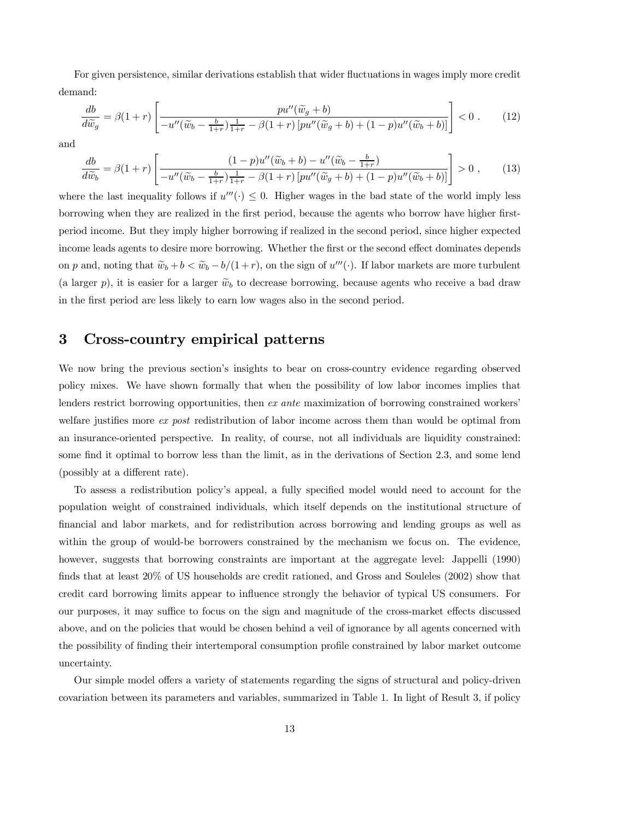For given persistence, similar derivations establish that wider fluctuations in wages imply more credit demand:

$$
\frac{db}{d\widetilde{w}_g} = \beta(1+r) \left[ \frac{pu''(\widetilde{w}_g+b)}{-u''(\widetilde{w}_b - \frac{b}{1+r})\frac{1}{1+r} - \beta(1+r) \left[ pu''(\widetilde{w}_g+b) + (1-p)u''(\widetilde{w}_b+b) \right]} \right] < 0 \tag{12}
$$

and

$$
\frac{db}{d\widetilde{w}_b} = \beta(1+r) \left[ \frac{(1-p)u''(\widetilde{w}_b+b) - u''(\widetilde{w}_b-\frac{b}{1+r})}{-u''(\widetilde{w}_b-\frac{b}{1+r})\frac{1}{1+r} - \beta(1+r) \left[pu''(\widetilde{w}_g+b) + (1-p)u''(\widetilde{w}_b+b)\right]} \right] > 0 ,\qquad(13)
$$

where the last inequality follows if  $u'''(\cdot) \leq 0$ . Higher wages in the bad state of the world imply less borrowing when they are realized in the first period, because the agents who borrow have higher firstperiod income. But they imply higher borrowing if realized in the second period, since higher expected income leads agents to desire more borrowing. Whether the first or the second effect dominates depends on p and, noting that  $\tilde{w}_b + b < \tilde{w}_b - b/(1+r)$ , on the sign of  $u'''(\cdot)$ . If labor markets are more turbulent (a larger p), it is easier for a larger  $\tilde{w}_b$  to decrease borrowing, because agents who receive a bad draw in the first period are less likely to earn low wages also in the second period.

## 3 Cross-country empirical patterns

We now bring the previous section's insights to bear on cross-country evidence regarding observed policy mixes. We have shown formally that when the possibility of low labor incomes implies that lenders restrict borrowing opportunities, then ex ante maximization of borrowing constrained workers' welfare justifies more *ex post* redistribution of labor income across them than would be optimal from an insurance-oriented perspective. In reality, of course, not all individuals are liquidity constrained: some find it optimal to borrow less than the limit, as in the derivations of Section 2.3, and some lend (possibly at a different rate).

To assess a redistribution policy's appeal, a fully specified model would need to account for the population weight of constrained individuals, which itself depends on the institutional structure of financial and labor markets, and for redistribution across borrowing and lending groups as well as within the group of would-be borrowers constrained by the mechanism we focus on. The evidence, however, suggests that borrowing constraints are important at the aggregate level: Jappelli (1990) finds that at least 20% of US households are credit rationed, and Gross and Souleles (2002) show that credit card borrowing limits appear to influence strongly the behavior of typical US consumers. For our purposes, it may suffice to focus on the sign and magnitude of the cross-market effects discussed above, and on the policies that would be chosen behind a veil of ignorance by all agents concerned with the possibility of finding their intertemporal consumption profile constrained by labor market outcome uncertainty.

Our simple model offers a variety of statements regarding the signs of structural and policy-driven covariation between its parameters and variables, summarized in Table 1. In light of Result 3, if policy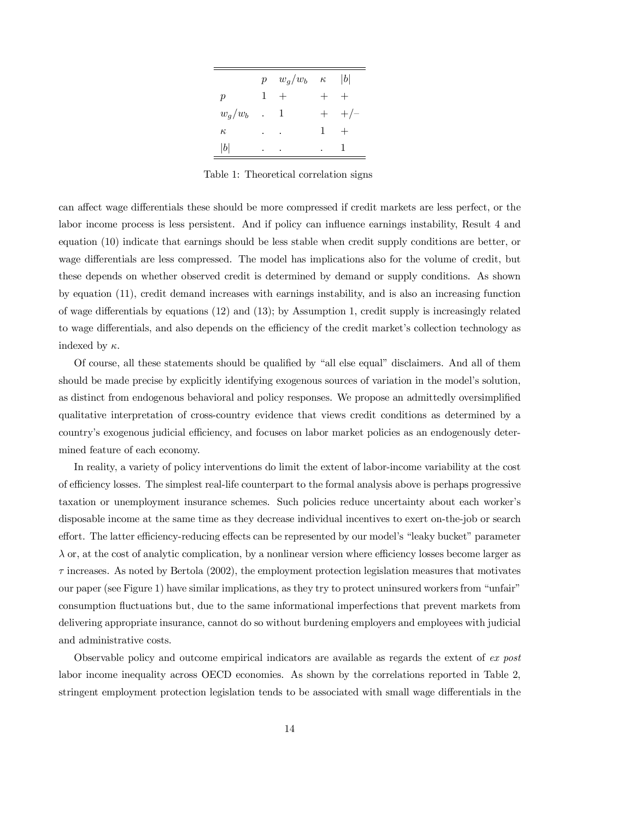|                 |           | $p \quad w_g/w_b \quad \kappa$ |              | b         |
|-----------------|-----------|--------------------------------|--------------|-----------|
| $p_{\parallel}$ | 1         | $+$                            |              |           |
| $w_g/w_b$       | $\sim 10$ | -1                             |              | $+$ $+/-$ |
| $\kappa$        | ٠         |                                | $\mathbf{1}$ |           |
| b               | ٠         |                                |              |           |

Table 1: Theoretical correlation signs

can affect wage differentials these should be more compressed if credit markets are less perfect, or the labor income process is less persistent. And if policy can influence earnings instability, Result 4 and equation (10) indicate that earnings should be less stable when credit supply conditions are better, or wage differentials are less compressed. The model has implications also for the volume of credit, but these depends on whether observed credit is determined by demand or supply conditions. As shown by equation (11), credit demand increases with earnings instability, and is also an increasing function of wage differentials by equations (12) and (13); by Assumption 1, credit supply is increasingly related to wage differentials, and also depends on the efficiency of the credit market's collection technology as indexed by  $\kappa$ .

Of course, all these statements should be qualified by "all else equal" disclaimers. And all of them should be made precise by explicitly identifying exogenous sources of variation in the model's solution, as distinct from endogenous behavioral and policy responses. We propose an admittedly oversimplified qualitative interpretation of cross-country evidence that views credit conditions as determined by a country's exogenous judicial efficiency, and focuses on labor market policies as an endogenously determined feature of each economy.

In reality, a variety of policy interventions do limit the extent of labor-income variability at the cost of efficiency losses. The simplest real-life counterpart to the formal analysis above is perhaps progressive taxation or unemployment insurance schemes. Such policies reduce uncertainty about each worker's disposable income at the same time as they decrease individual incentives to exert on-the-job or search effort. The latter efficiency-reducing effects can be represented by our model's "leaky bucket" parameter  $\lambda$  or, at the cost of analytic complication, by a nonlinear version where efficiency losses become larger as  $\tau$  increases. As noted by Bertola (2002), the employment protection legislation measures that motivates our paper (see Figure 1) have similar implications, as they try to protect uninsured workers from "unfair" consumption fluctuations but, due to the same informational imperfections that prevent markets from delivering appropriate insurance, cannot do so without burdening employers and employees with judicial and administrative costs.

Observable policy and outcome empirical indicators are available as regards the extent of ex post labor income inequality across OECD economies. As shown by the correlations reported in Table 2, stringent employment protection legislation tends to be associated with small wage differentials in the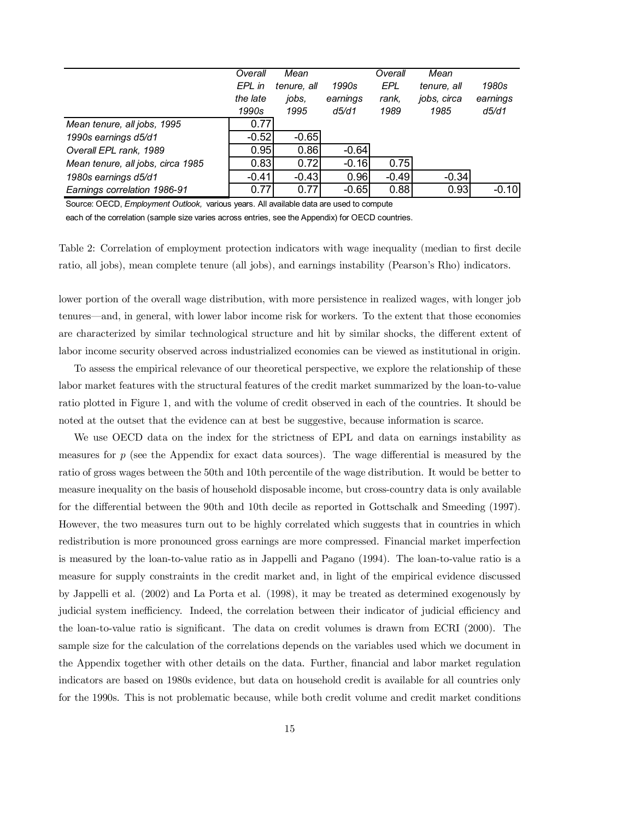|                                   | Overall  | Mean        |          | Overall | Mean        |          |
|-----------------------------------|----------|-------------|----------|---------|-------------|----------|
|                                   | EPL in   | tenure, all | 1990s    | EPL     | tenure, all | 1980s    |
|                                   | the late | jobs,       | earnings | rank.   | jobs, circa | earnings |
|                                   | 1990s    | 1995        | d5/d1    | 1989    | 1985        | d5/d1    |
| Mean tenure, all jobs, 1995       | 0.77     |             |          |         |             |          |
| 1990s earnings d5/d1              | $-0.52$  | $-0.65$     |          |         |             |          |
| Overall EPL rank, 1989            | 0.95     | 0.86        | $-0.64$  |         |             |          |
| Mean tenure, all jobs, circa 1985 | 0.83     | 0.72        | $-0.16$  | 0.75    |             |          |
| 1980s earnings d5/d1              | $-0.41$  | $-0.43$     | 0.96     | $-0.49$ | $-0.34$     |          |
| Earnings correlation 1986-91      | 0.77     | 0.77        | $-0.65$  | 0.88    | 0.93        | $-0.10$  |

Source: OECD, *Employment Outlook,* various years. All available data are used to compute

each of the correlation (sample size varies across entries, see the Appendix) for OECD countries.

Table 2: Correlation of employment protection indicators with wage inequality (median to first decile ratio, all jobs), mean complete tenure (all jobs), and earnings instability (Pearson's Rho) indicators.

lower portion of the overall wage distribution, with more persistence in realized wages, with longer job tenures–and, in general, with lower labor income risk for workers. To the extent that those economies are characterized by similar technological structure and hit by similar shocks, the different extent of labor income security observed across industrialized economies can be viewed as institutional in origin.

To assess the empirical relevance of our theoretical perspective, we explore the relationship of these labor market features with the structural features of the credit market summarized by the loan-to-value ratio plotted in Figure 1, and with the volume of credit observed in each of the countries. It should be noted at the outset that the evidence can at best be suggestive, because information is scarce.

We use OECD data on the index for the strictness of EPL and data on earnings instability as measures for  $p$  (see the Appendix for exact data sources). The wage differential is measured by the ratio of gross wages between the 50th and 10th percentile of the wage distribution. It would be better to measure inequality on the basis of household disposable income, but cross-country data is only available for the differential between the 90th and 10th decile as reported in Gottschalk and Smeeding (1997). However, the two measures turn out to be highly correlated which suggests that in countries in which redistribution is more pronounced gross earnings are more compressed. Financial market imperfection is measured by the loan-to-value ratio as in Jappelli and Pagano (1994). The loan-to-value ratio is a measure for supply constraints in the credit market and, in light of the empirical evidence discussed by Jappelli et al. (2002) and La Porta et al. (1998), it may be treated as determined exogenously by judicial system inefficiency. Indeed, the correlation between their indicator of judicial efficiency and the loan-to-value ratio is significant. The data on credit volumes is drawn from ECRI (2000). The sample size for the calculation of the correlations depends on the variables used which we document in the Appendix together with other details on the data. Further, financial and labor market regulation indicators are based on 1980s evidence, but data on household credit is available for all countries only for the 1990s. This is not problematic because, while both credit volume and credit market conditions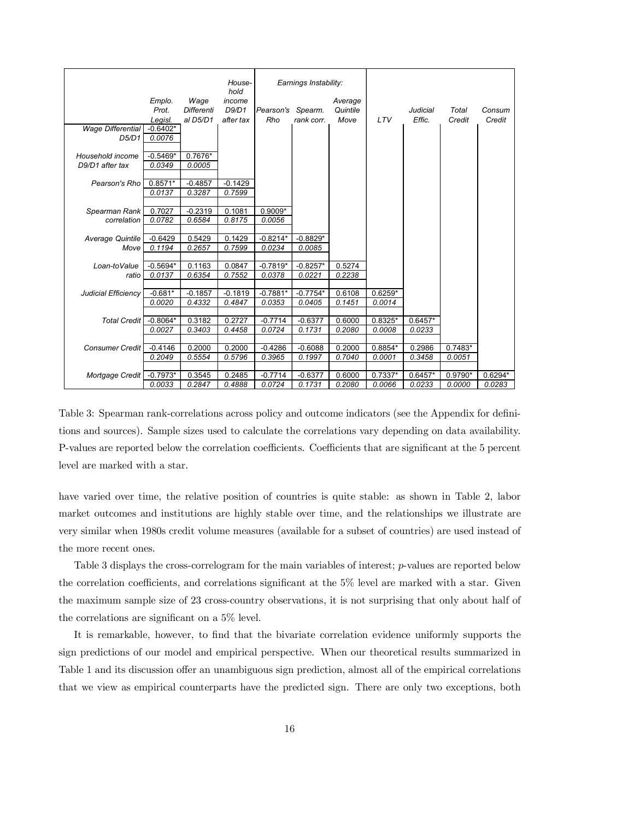|                            |                       |            | House-<br>hold   | Earnings Instability: |            |                  |                   |                 |           |           |
|----------------------------|-----------------------|------------|------------------|-----------------------|------------|------------------|-------------------|-----------------|-----------|-----------|
|                            | Emplo.                | Wage       | income           |                       |            | Average          |                   |                 |           |           |
|                            | Prot.                 | Differenti | D9/D1            | Pearson's Spearm.     |            | Quintile         |                   | <b>Judicial</b> | Total     | Consum    |
| <b>Wage Differential</b>   | Legisl.<br>$-0.6402*$ | al D5/D1   | after tax        | Rho                   | rank corr. | Move             | <b>LTV</b>        | Effic.          | Credit    | Credit    |
| D5/D1                      | 0.0076                |            |                  |                       |            |                  |                   |                 |           |           |
|                            |                       |            |                  |                       |            |                  |                   |                 |           |           |
| Household income           | $-0.5469*$            | $0.7676*$  |                  |                       |            |                  |                   |                 |           |           |
| D9/D1 after tax            | 0.0349                | 0.0005     |                  |                       |            |                  |                   |                 |           |           |
|                            |                       |            |                  |                       |            |                  |                   |                 |           |           |
| Pearson's Rho              | $0.8571*$             | $-0.4857$  | $-0.1429$        |                       |            |                  |                   |                 |           |           |
|                            | 0.0137                | 0.3287     | 0.7599           |                       |            |                  |                   |                 |           |           |
| Spearman Rank              | 0.7027                | $-0.2319$  | 0.1081           | $0.9009*$             |            |                  |                   |                 |           |           |
| correlation                | 0.0782                | 0.6584     | 0.8175           | 0.0056                |            |                  |                   |                 |           |           |
|                            |                       |            |                  |                       |            |                  |                   |                 |           |           |
| Average Quintile           | $-0.6429$             | 0.5429     | 0.1429           | $-0.8214*$            | $-0.8829*$ |                  |                   |                 |           |           |
| Move                       | 0.1194                | 0.2657     | 0.7599           | 0.0234                | 0.0085     |                  |                   |                 |           |           |
|                            |                       |            |                  |                       |            |                  |                   |                 |           |           |
| Loan-toValue               | $-0.5694*$            | 0.1163     | 0.0847           | $-0.7819*$            | $-0.8257*$ | 0.5274           |                   |                 |           |           |
| ratio                      | 0.0137                | 0.6354     | 0.7552           | 0.0378                | 0.0221     | 0.2238           |                   |                 |           |           |
| <b>Judicial Efficiency</b> | $-0.681*$             | $-0.1857$  | $-0.1819$        | $-0.7881*$            | $-0.7754*$ | 0.6108           | $0.6259*$         |                 |           |           |
|                            | 0.0020                | 0.4332     | 0.4847           | 0.0353                | 0.0405     | 0.1451           | 0.0014            |                 |           |           |
|                            |                       |            |                  |                       |            |                  |                   |                 |           |           |
| <b>Total Credit</b>        | $-0.8064*$            | 0.3182     | 0.2727           | $-0.7714$             | $-0.6377$  | 0.6000           | $0.8325*$         | $0.6457*$       |           |           |
|                            | 0.0027                | 0.3403     | 0.4458           | 0.0724                | 0.1731     | 0.2080           | 0.0008            | 0.0233          |           |           |
|                            |                       |            |                  |                       |            |                  |                   |                 |           |           |
| <b>Consumer Credit</b>     | $-0.4146$             | 0.2000     | 0.2000<br>0.5796 | $-0.4286$             | $-0.6088$  | 0.2000<br>0.7040 | 0.8854*<br>0.0001 | 0.2986          | $0.7483*$ |           |
|                            | 0.2049                | 0.5554     |                  | 0.3965                | 0.1997     |                  |                   | 0.3458          | 0.0051    |           |
| Mortgage Credit            | $-0.7973*$            | 0.3545     | 0.2485           | $-0.7714$             | $-0.6377$  | 0.6000           | $0.7337*$         | $0.6457*$       | $0.9790*$ | $0.6294*$ |
|                            | 0.0033                | 0.2847     | 0.4888           | 0.0724                | 0.1731     | 0.2080           | 0.0066            | 0.0233          | 0.0000    | 0.0283    |

Table 3: Spearman rank-correlations across policy and outcome indicators (see the Appendix for definitions and sources). Sample sizes used to calculate the correlations vary depending on data availability. P-values are reported below the correlation coefficients. Coefficients that are significant at the 5 percent level are marked with a star.

have varied over time, the relative position of countries is quite stable: as shown in Table 2, labor market outcomes and institutions are highly stable over time, and the relationships we illustrate are very similar when 1980s credit volume measures (available for a subset of countries) are used instead of the more recent ones.

Table 3 displays the cross-correlogram for the main variables of interest; *p*-values are reported below the correlation coefficients, and correlations significant at the 5% level are marked with a star. Given the maximum sample size of 23 cross-country observations, it is not surprising that only about half of the correlations are significant on a 5% level.

It is remarkable, however, to find that the bivariate correlation evidence uniformly supports the sign predictions of our model and empirical perspective. When our theoretical results summarized in Table 1 and its discussion offer an unambiguous sign prediction, almost all of the empirical correlations that we view as empirical counterparts have the predicted sign. There are only two exceptions, both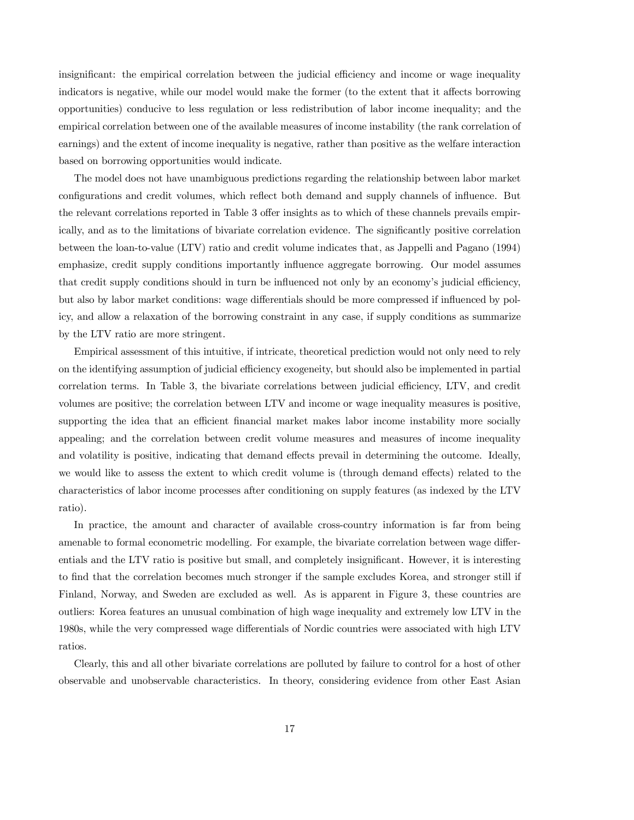insignificant: the empirical correlation between the judicial efficiency and income or wage inequality indicators is negative, while our model would make the former (to the extent that it affects borrowing opportunities) conducive to less regulation or less redistribution of labor income inequality; and the empirical correlation between one of the available measures of income instability (the rank correlation of earnings) and the extent of income inequality is negative, rather than positive as the welfare interaction based on borrowing opportunities would indicate.

The model does not have unambiguous predictions regarding the relationship between labor market configurations and credit volumes, which reflect both demand and supply channels of influence. But the relevant correlations reported in Table 3 offer insights as to which of these channels prevails empirically, and as to the limitations of bivariate correlation evidence. The significantly positive correlation between the loan-to-value (LTV) ratio and credit volume indicates that, as Jappelli and Pagano (1994) emphasize, credit supply conditions importantly influence aggregate borrowing. Our model assumes that credit supply conditions should in turn be influenced not only by an economy's judicial efficiency, but also by labor market conditions: wage differentials should be more compressed if influenced by policy, and allow a relaxation of the borrowing constraint in any case, if supply conditions as summarize by the LTV ratio are more stringent.

Empirical assessment of this intuitive, if intricate, theoretical prediction would not only need to rely on the identifying assumption of judicial efficiency exogeneity, but should also be implemented in partial correlation terms. In Table 3, the bivariate correlations between judicial efficiency, LTV, and credit volumes are positive; the correlation between LTV and income or wage inequality measures is positive, supporting the idea that an efficient financial market makes labor income instability more socially appealing; and the correlation between credit volume measures and measures of income inequality and volatility is positive, indicating that demand effects prevail in determining the outcome. Ideally, we would like to assess the extent to which credit volume is (through demand effects) related to the characteristics of labor income processes after conditioning on supply features (as indexed by the LTV ratio).

In practice, the amount and character of available cross-country information is far from being amenable to formal econometric modelling. For example, the bivariate correlation between wage differentials and the LTV ratio is positive but small, and completely insignificant. However, it is interesting to find that the correlation becomes much stronger if the sample excludes Korea, and stronger still if Finland, Norway, and Sweden are excluded as well. As is apparent in Figure 3, these countries are outliers: Korea features an unusual combination of high wage inequality and extremely low LTV in the 1980s, while the very compressed wage differentials of Nordic countries were associated with high LTV ratios.

Clearly, this and all other bivariate correlations are polluted by failure to control for a host of other observable and unobservable characteristics. In theory, considering evidence from other East Asian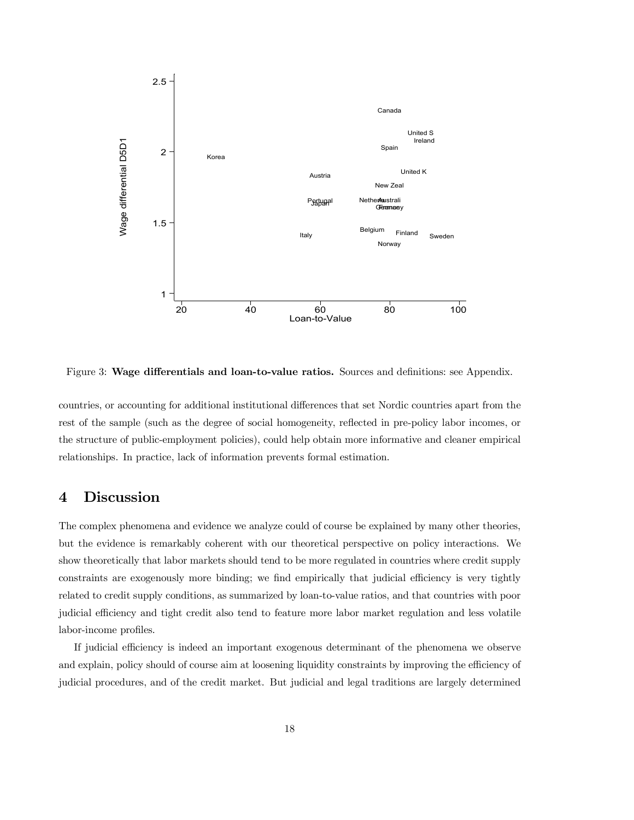

Figure 3: Wage differentials and loan-to-value ratios. Sources and definitions: see Appendix.

countries, or accounting for additional institutional differences that set Nordic countries apart from the rest of the sample (such as the degree of social homogeneity, reflected in pre-policy labor incomes, or the structure of public-employment policies), could help obtain more informative and cleaner empirical relationships. In practice, lack of information prevents formal estimation.

## 4 Discussion

The complex phenomena and evidence we analyze could of course be explained by many other theories, but the evidence is remarkably coherent with our theoretical perspective on policy interactions. We show theoretically that labor markets should tend to be more regulated in countries where credit supply constraints are exogenously more binding; we find empirically that judicial efficiency is very tightly related to credit supply conditions, as summarized by loan-to-value ratios, and that countries with poor judicial efficiency and tight credit also tend to feature more labor market regulation and less volatile labor-income profiles.

If judicial efficiency is indeed an important exogenous determinant of the phenomena we observe and explain, policy should of course aim at loosening liquidity constraints by improving the efficiency of judicial procedures, and of the credit market. But judicial and legal traditions are largely determined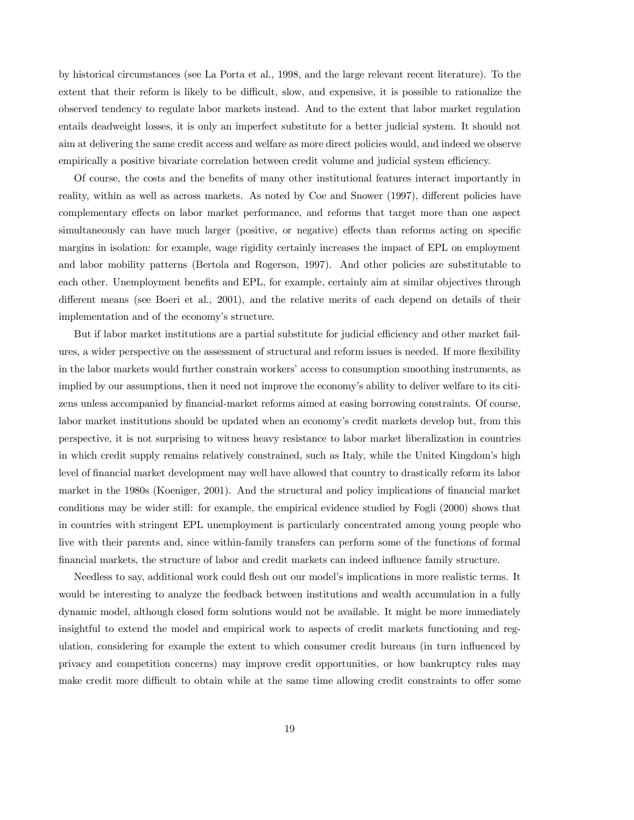by historical circumstances (see La Porta et al., 1998, and the large relevant recent literature). To the extent that their reform is likely to be difficult, slow, and expensive, it is possible to rationalize the observed tendency to regulate labor markets instead. And to the extent that labor market regulation entails deadweight losses, it is only an imperfect substitute for a better judicial system. It should not aim at delivering the same credit access and welfare as more direct policies would, and indeed we observe empirically a positive bivariate correlation between credit volume and judicial system efficiency.

Of course, the costs and the benefits of many other institutional features interact importantly in reality, within as well as across markets. As noted by Coe and Snower (1997), different policies have complementary effects on labor market performance, and reforms that target more than one aspect simultaneously can have much larger (positive, or negative) effects than reforms acting on specific margins in isolation: for example, wage rigidity certainly increases the impact of EPL on employment and labor mobility patterns (Bertola and Rogerson, 1997). And other policies are substitutable to each other. Unemployment benefits and EPL, for example, certainly aim at similar objectives through different means (see Boeri et al., 2001), and the relative merits of each depend on details of their implementation and of the economy's structure.

But if labor market institutions are a partial substitute for judicial efficiency and other market failures, a wider perspective on the assessment of structural and reform issues is needed. If more flexibility in the labor markets would further constrain workers' access to consumption smoothing instruments, as implied by our assumptions, then it need not improve the economy's ability to deliver welfare to its citizens unless accompanied by financial-market reforms aimed at easing borrowing constraints. Of course, labor market institutions should be updated when an economy's credit markets develop but, from this perspective, it is not surprising to witness heavy resistance to labor market liberalization in countries in which credit supply remains relatively constrained, such as Italy, while the United Kingdom's high level of financial market development may well have allowed that country to drastically reform its labor market in the 1980s (Koeniger, 2001). And the structural and policy implications of financial market conditions may be wider still: for example, the empirical evidence studied by Fogli (2000) shows that in countries with stringent EPL unemployment is particularly concentrated among young people who live with their parents and, since within-family transfers can perform some of the functions of formal financial markets, the structure of labor and credit markets can indeed influence family structure.

Needless to say, additional work could flesh out our model's implications in more realistic terms. It would be interesting to analyze the feedback between institutions and wealth accumulation in a fully dynamic model, although closed form solutions would not be available. It might be more immediately insightful to extend the model and empirical work to aspects of credit markets functioning and regulation, considering for example the extent to which consumer credit bureaus (in turn influenced by privacy and competition concerns) may improve credit opportunities, or how bankruptcy rules may make credit more difficult to obtain while at the same time allowing credit constraints to offer some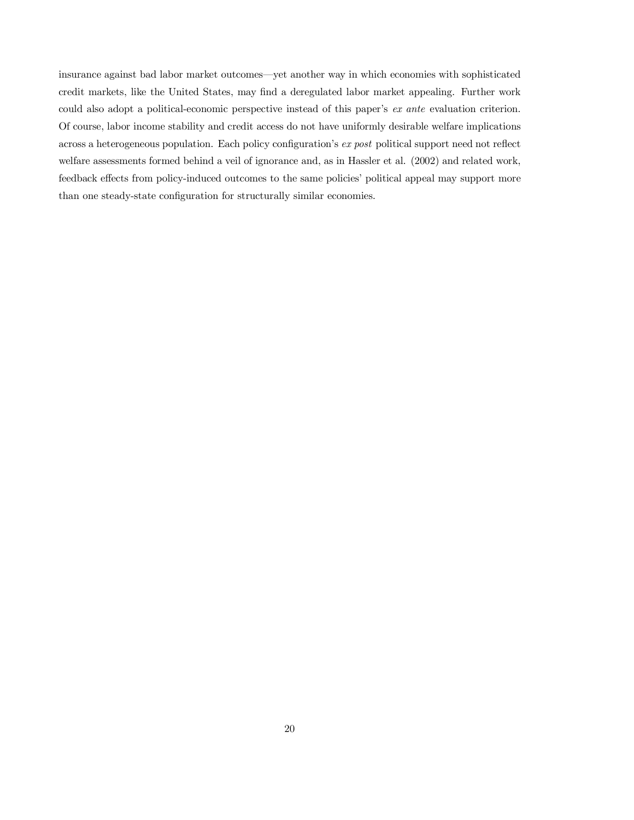insurance against bad labor market outcomes–yet another way in which economies with sophisticated credit markets, like the United States, may find a deregulated labor market appealing. Further work could also adopt a political-economic perspective instead of this paper's ex ante evaluation criterion. Of course, labor income stability and credit access do not have uniformly desirable welfare implications across a heterogeneous population. Each policy configuration's ex post political support need not reflect welfare assessments formed behind a veil of ignorance and, as in Hassler et al. (2002) and related work, feedback effects from policy-induced outcomes to the same policies' political appeal may support more than one steady-state configuration for structurally similar economies.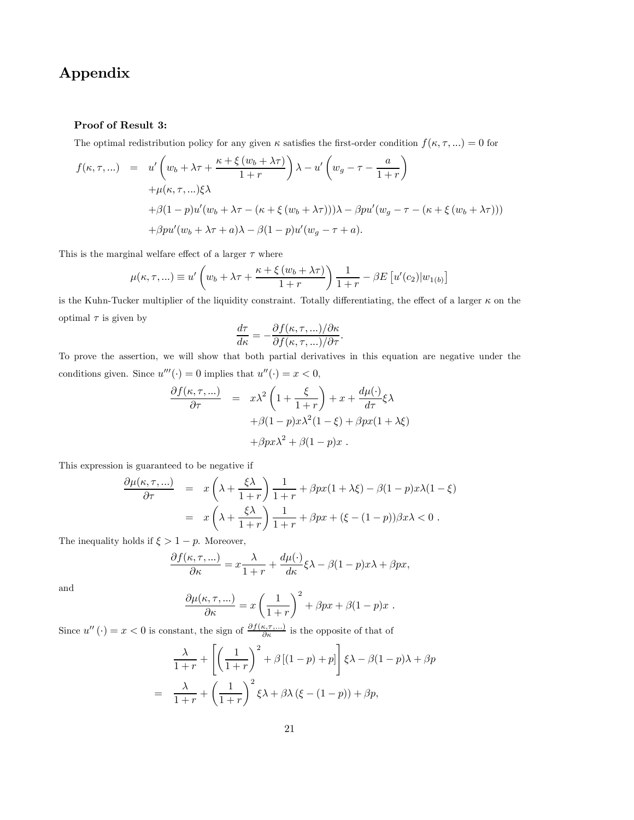## Appendix

### Proof of Result 3:

The optimal redistribution policy for any given  $\kappa$  satisfies the first-order condition  $f(\kappa, \tau, ...) = 0$  for

$$
f(\kappa, \tau, ...) = u' \left( w_b + \lambda \tau + \frac{\kappa + \xi (w_b + \lambda \tau)}{1 + r} \right) \lambda - u' \left( w_g - \tau - \frac{a}{1 + r} \right)
$$
  
+  $\mu(\kappa, \tau, ...)\xi\lambda$   
+  $\beta(1 - p)u'(w_b + \lambda \tau - (\kappa + \xi (w_b + \lambda \tau)))\lambda - \beta pu'(w_g - \tau - (\kappa + \xi (w_b + \lambda \tau)))$   
+  $\beta pu'(w_b + \lambda \tau + a)\lambda - \beta(1 - p)u'(w_g - \tau + a).$ 

This is the marginal welfare effect of a larger  $\tau$  where

$$
\mu(\kappa, \tau, \ldots) \equiv u' \left( w_b + \lambda \tau + \frac{\kappa + \xi (w_b + \lambda \tau)}{1 + r} \right) \frac{1}{1 + r} - \beta E \left[ u'(c_2) | w_{1(b)} \right]
$$

is the Kuhn-Tucker multiplier of the liquidity constraint. Totally differentiating, the effect of a larger  $\kappa$  on the optimal  $\tau$  is given by

$$
\frac{d\tau}{d\kappa} = -\frac{\partial f(\kappa, \tau, \ldots)/\partial \kappa}{\partial f(\kappa, \tau, \ldots)/\partial \tau}.
$$

To prove the assertion, we will show that both partial derivatives in this equation are negative under the conditions given. Since  $u'''(\cdot)=0$  implies that  $u''(\cdot) = x < 0$ ,

$$
\frac{\partial f(\kappa, \tau, ...)}{\partial \tau} = x\lambda^2 \left(1 + \frac{\xi}{1+r}\right) + x + \frac{d\mu(\cdot)}{d\tau} \xi \lambda
$$

$$
+ \beta(1-p)x\lambda^2(1-\xi) + \beta px(1+\lambda\xi)
$$

$$
+ \beta px\lambda^2 + \beta(1-p)x .
$$

This expression is guaranteed to be negative if

$$
\frac{\partial \mu(\kappa, \tau, \ldots)}{\partial \tau} = x \left( \lambda + \frac{\xi \lambda}{1+r} \right) \frac{1}{1+r} + \beta px(1+\lambda \xi) - \beta(1-p)x\lambda(1-\xi)
$$

$$
= x \left( \lambda + \frac{\xi \lambda}{1+r} \right) \frac{1}{1+r} + \beta px + (\xi - (1-p))\beta x \lambda < 0.
$$

The inequality holds if  $\xi > 1 - p$ . Moreover,

$$
\frac{\partial f(\kappa,\tau,...)}{\partial \kappa} = x \frac{\lambda}{1+r} + \frac{d\mu(\cdot)}{d\kappa} \xi \lambda - \beta (1-p)x\lambda + \beta px,
$$

and

$$
\frac{\partial \mu(\kappa, \tau, \ldots)}{\partial \kappa} = x \left( \frac{1}{1+r} \right)^2 + \beta px + \beta (1-p)x.
$$

Since  $u''(.) = x < 0$  is constant, the sign of  $\frac{\partial f(\kappa, \tau, ...)}{\partial \kappa}$  is the opposite of that of

$$
\frac{\lambda}{1+r} + \left[ \left( \frac{1}{1+r} \right)^2 + \beta \left[ (1-p) + p \right] \right] \xi \lambda - \beta (1-p) \lambda + \beta p
$$

$$
= \frac{\lambda}{1+r} + \left( \frac{1}{1+r} \right)^2 \xi \lambda + \beta \lambda \left( \xi - (1-p) \right) + \beta p,
$$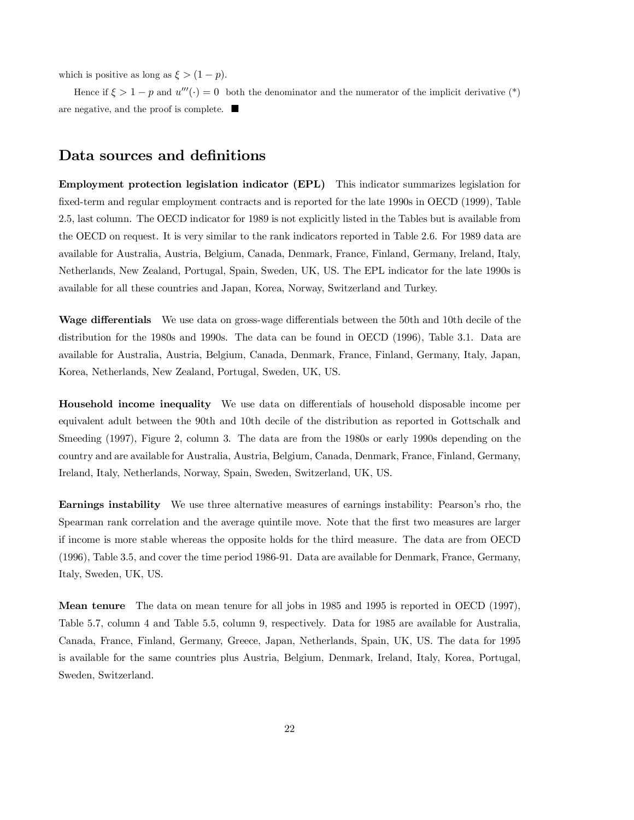which is positive as long as  $\xi > (1 - p)$ .

Hence if  $\xi > 1 - p$  and  $u'''(\cdot) = 0$  both the denominator and the numerator of the implicit derivative (\*) are negative, and the proof is complete.  $\blacksquare$ 

## Data sources and definitions

Employment protection legislation indicator (EPL) This indicator summarizes legislation for fixed-term and regular employment contracts and is reported for the late 1990s in OECD (1999), Table 2.5, last column. The OECD indicator for 1989 is not explicitly listed in the Tables but is available from the OECD on request. It is very similar to the rank indicators reported in Table 2.6. For 1989 data are available for Australia, Austria, Belgium, Canada, Denmark, France, Finland, Germany, Ireland, Italy, Netherlands, New Zealand, Portugal, Spain, Sweden, UK, US. The EPL indicator for the late 1990s is available for all these countries and Japan, Korea, Norway, Switzerland and Turkey.

Wage differentials We use data on gross-wage differentials between the 50th and 10th decile of the distribution for the 1980s and 1990s. The data can be found in OECD (1996), Table 3.1. Data are available for Australia, Austria, Belgium, Canada, Denmark, France, Finland, Germany, Italy, Japan, Korea, Netherlands, New Zealand, Portugal, Sweden, UK, US.

Household income inequality We use data on differentials of household disposable income per equivalent adult between the 90th and 10th decile of the distribution as reported in Gottschalk and Smeeding (1997), Figure 2, column 3. The data are from the 1980s or early 1990s depending on the country and are available for Australia, Austria, Belgium, Canada, Denmark, France, Finland, Germany, Ireland, Italy, Netherlands, Norway, Spain, Sweden, Switzerland, UK, US.

Earnings instability We use three alternative measures of earnings instability: Pearson's rho, the Spearman rank correlation and the average quintile move. Note that the first two measures are larger if income is more stable whereas the opposite holds for the third measure. The data are from OECD (1996), Table 3.5, and cover the time period 1986-91. Data are available for Denmark, France, Germany, Italy, Sweden, UK, US.

Mean tenure The data on mean tenure for all jobs in 1985 and 1995 is reported in OECD (1997), Table 5.7, column 4 and Table 5.5, column 9, respectively. Data for 1985 are available for Australia, Canada, France, Finland, Germany, Greece, Japan, Netherlands, Spain, UK, US. The data for 1995 is available for the same countries plus Austria, Belgium, Denmark, Ireland, Italy, Korea, Portugal, Sweden, Switzerland.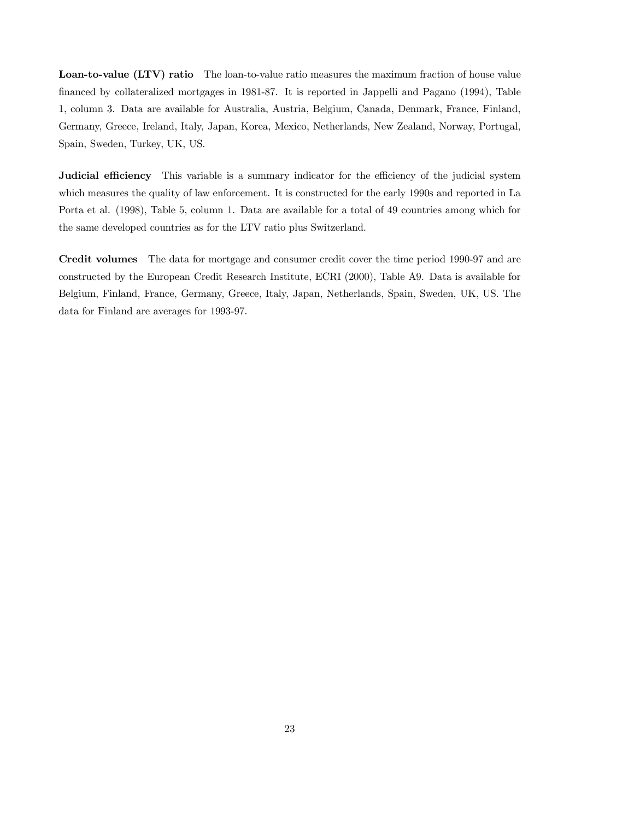Loan-to-value (LTV) ratio The loan-to-value ratio measures the maximum fraction of house value financed by collateralized mortgages in 1981-87. It is reported in Jappelli and Pagano (1994), Table 1, column 3. Data are available for Australia, Austria, Belgium, Canada, Denmark, France, Finland, Germany, Greece, Ireland, Italy, Japan, Korea, Mexico, Netherlands, New Zealand, Norway, Portugal, Spain, Sweden, Turkey, UK, US.

Judicial efficiency This variable is a summary indicator for the efficiency of the judicial system which measures the quality of law enforcement. It is constructed for the early 1990s and reported in La Porta et al. (1998), Table 5, column 1. Data are available for a total of 49 countries among which for the same developed countries as for the LTV ratio plus Switzerland.

Credit volumes The data for mortgage and consumer credit cover the time period 1990-97 and are constructed by the European Credit Research Institute, ECRI (2000), Table A9. Data is available for Belgium, Finland, France, Germany, Greece, Italy, Japan, Netherlands, Spain, Sweden, UK, US. The data for Finland are averages for 1993-97.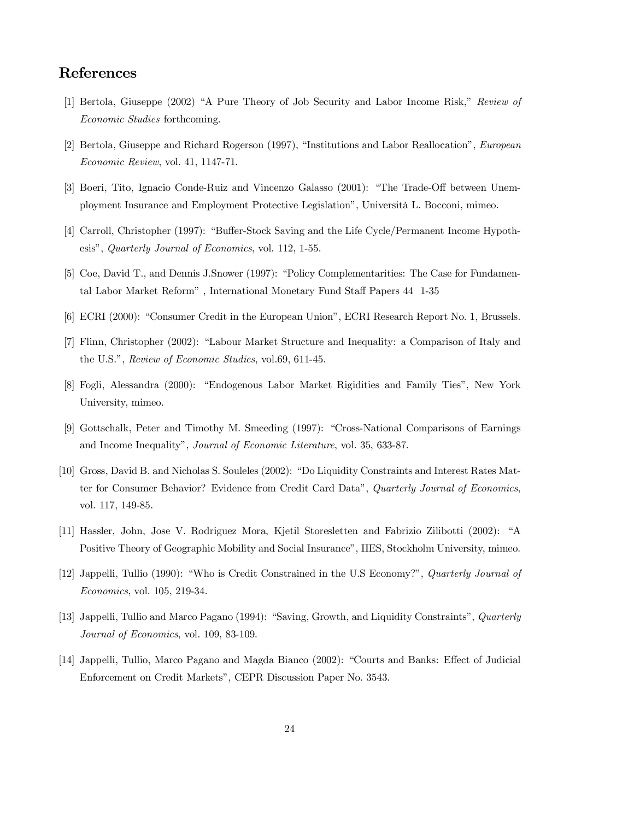## References

- [1] Bertola, Giuseppe (2002) "A Pure Theory of Job Security and Labor Income Risk," Review of Economic Studies forthcoming.
- [2] Bertola, Giuseppe and Richard Rogerson (1997), "Institutions and Labor Reallocation", European Economic Review, vol. 41, 1147-71.
- [3] Boeri, Tito, Ignacio Conde-Ruiz and Vincenzo Galasso (2001): "The Trade-Off between Unemployment Insurance and Employment Protective Legislation", Università L. Bocconi, mimeo.
- [4] Carroll, Christopher (1997): "Buffer-Stock Saving and the Life Cycle/Permanent Income Hypothesis", Quarterly Journal of Economics, vol. 112, 1-55.
- [5] Coe, David T., and Dennis J.Snower (1997): "Policy Complementarities: The Case for Fundamental Labor Market Reform" , International Monetary Fund Staff Papers 44 1-35
- [6] ECRI (2000): "Consumer Credit in the European Union", ECRI Research Report No. 1, Brussels.
- [7] Flinn, Christopher (2002): "Labour Market Structure and Inequality: a Comparison of Italy and the U.S.", Review of Economic Studies, vol.69, 611-45.
- [8] Fogli, Alessandra (2000): "Endogenous Labor Market Rigidities and Family Ties", New York University, mimeo.
- [9] Gottschalk, Peter and Timothy M. Smeeding (1997): "Cross-National Comparisons of Earnings and Income Inequality", Journal of Economic Literature, vol. 35, 633-87.
- [10] Gross, David B. and Nicholas S. Souleles (2002): "Do Liquidity Constraints and Interest Rates Matter for Consumer Behavior? Evidence from Credit Card Data", Quarterly Journal of Economics, vol. 117, 149-85.
- [11] Hassler, John, Jose V. Rodriguez Mora, Kjetil Storesletten and Fabrizio Zilibotti (2002): "A Positive Theory of Geographic Mobility and Social Insurance", IIES, Stockholm University, mimeo.
- [12] Jappelli, Tullio (1990): "Who is Credit Constrained in the U.S Economy?", Quarterly Journal of Economics, vol. 105, 219-34.
- [13] Jappelli, Tullio and Marco Pagano (1994): "Saving, Growth, and Liquidity Constraints", Quarterly Journal of Economics, vol. 109, 83-109.
- [14] Jappelli, Tullio, Marco Pagano and Magda Bianco (2002): "Courts and Banks: Effect of Judicial Enforcement on Credit Markets", CEPR Discussion Paper No. 3543.